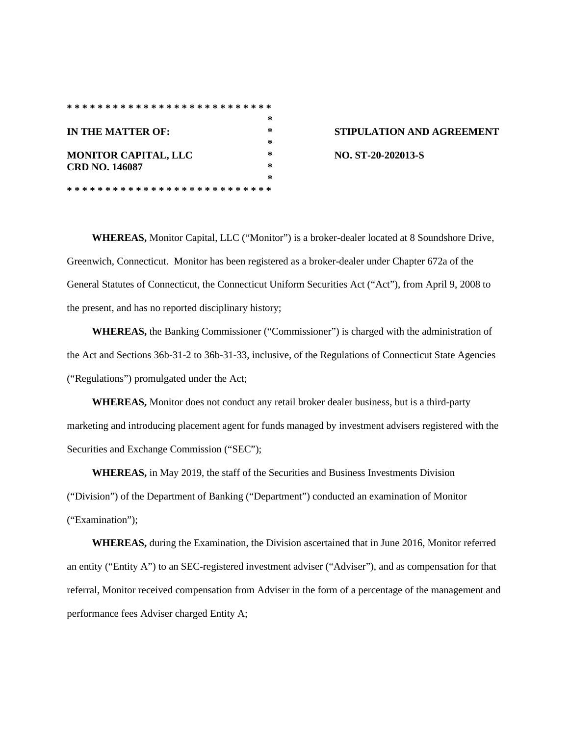## **\* \* \* \* \* \* \* \* \* \* \* \* \* \* \* \* \* \* \* \* \* \* \* \* \* \* \* \* IN THE MATTER OF: \* STIPULATION AND AGREEMENT \* MONITOR CAPITAL, LLC \* NO. ST-20-202013-S CRD NO. 146087 \* \* \* \* \* \* \* \* \* \* \* \* \* \* \* \* \* \* \* \* \* \* \* \* \* \* \* \***

**WHEREAS,** Monitor Capital, LLC ("Monitor") is a broker-dealer located at 8 Soundshore Drive, Greenwich, Connecticut. Monitor has been registered as a broker-dealer under Chapter 672a of the General Statutes of Connecticut, the Connecticut Uniform Securities Act ("Act"), from April 9, 2008 to the present, and has no reported disciplinary history;

**WHEREAS,** the Banking Commissioner ("Commissioner") is charged with the administration of the Act and Sections 36b-31-2 to 36b-31-33, inclusive, of the Regulations of Connecticut State Agencies ("Regulations") promulgated under the Act;

**WHEREAS,** Monitor does not conduct any retail broker dealer business, but is a third-party marketing and introducing placement agent for funds managed by investment advisers registered with the Securities and Exchange Commission ("SEC");

**WHEREAS,** in May 2019, the staff of the Securities and Business Investments Division ("Division") of the Department of Banking ("Department") conducted an examination of Monitor ("Examination");

**WHEREAS,** during the Examination, the Division ascertained that in June 2016, Monitor referred an entity ("Entity A") to an SEC-registered investment adviser ("Adviser"), and as compensation for that referral, Monitor received compensation from Adviser in the form of a percentage of the management and performance fees Adviser charged Entity A;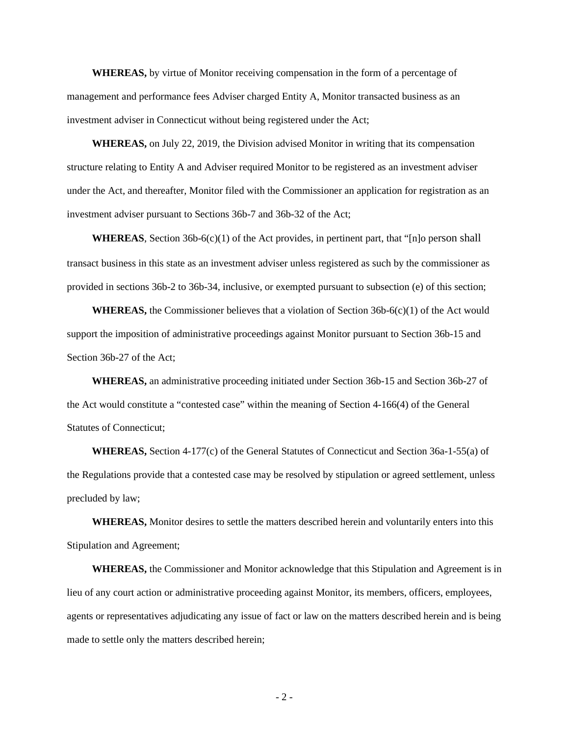**WHEREAS,** by virtue of Monitor receiving compensation in the form of a percentage of management and performance fees Adviser charged Entity A, Monitor transacted business as an investment adviser in Connecticut without being registered under the Act;

**WHEREAS,** on July 22, 2019, the Division advised Monitor in writing that its compensation structure relating to Entity A and Adviser required Monitor to be registered as an investment adviser under the Act, and thereafter, Monitor filed with the Commissioner an application for registration as an investment adviser pursuant to Sections 36b-7 and 36b-32 of the Act;

**WHEREAS**, Section 36b-6(c)(1) of the Act provides, in pertinent part, that "[n]o person shall transact business in this state as an investment adviser unless registered as such by the commissioner as provided in sections 36b-2 to 36b-34, inclusive, or exempted pursuant to subsection (e) of this section;

**WHEREAS,** the Commissioner believes that a violation of Section  $36b-6(c)(1)$  of the Act would support the imposition of administrative proceedings against Monitor pursuant to Section 36b-15 and Section 36b-27 of the Act;

**WHEREAS,** an administrative proceeding initiated under Section 36b-15 and Section 36b-27 of the Act would constitute a "contested case" within the meaning of Section 4-166(4) of the General Statutes of Connecticut;

**WHEREAS,** Section 4-177(c) of the General Statutes of Connecticut and Section 36a-1-55(a) of the Regulations provide that a contested case may be resolved by stipulation or agreed settlement, unless precluded by law;

**WHEREAS,** Monitor desires to settle the matters described herein and voluntarily enters into this Stipulation and Agreement;

**WHEREAS,** the Commissioner and Monitor acknowledge that this Stipulation and Agreement is in lieu of any court action or administrative proceeding against Monitor, its members, officers, employees, agents or representatives adjudicating any issue of fact or law on the matters described herein and is being made to settle only the matters described herein;

- 2 -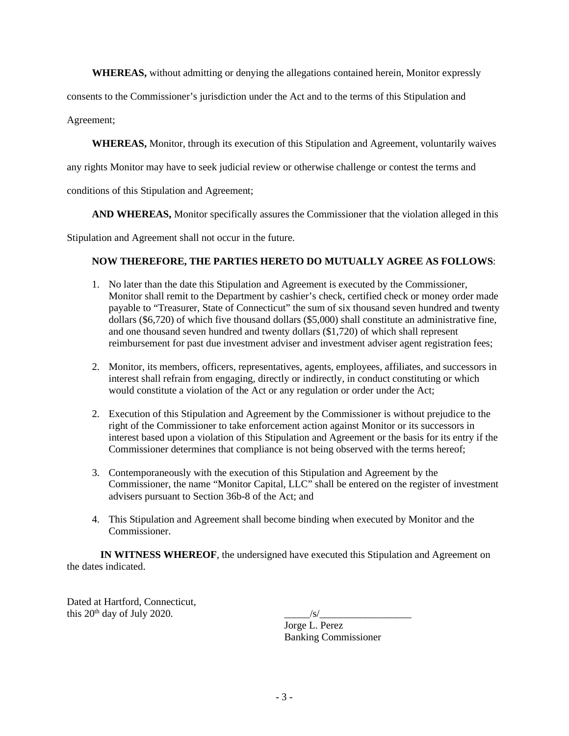**WHEREAS,** without admitting or denying the allegations contained herein, Monitor expressly

consents to the Commissioner's jurisdiction under the Act and to the terms of this Stipulation and

Agreement;

**WHEREAS,** Monitor, through its execution of this Stipulation and Agreement, voluntarily waives

any rights Monitor may have to seek judicial review or otherwise challenge or contest the terms and

conditions of this Stipulation and Agreement;

**AND WHEREAS,** Monitor specifically assures the Commissioner that the violation alleged in this

Stipulation and Agreement shall not occur in the future.

## **NOW THEREFORE, THE PARTIES HERETO DO MUTUALLY AGREE AS FOLLOWS**:

- 1. No later than the date this Stipulation and Agreement is executed by the Commissioner, Monitor shall remit to the Department by cashier's check, certified check or money order made payable to "Treasurer, State of Connecticut" the sum of six thousand seven hundred and twenty dollars (\$6,720) of which five thousand dollars (\$5,000) shall constitute an administrative fine, and one thousand seven hundred and twenty dollars (\$1,720) of which shall represent reimbursement for past due investment adviser and investment adviser agent registration fees;
- 2. Monitor, its members, officers, representatives, agents, employees, affiliates, and successors in interest shall refrain from engaging, directly or indirectly, in conduct constituting or which would constitute a violation of the Act or any regulation or order under the Act;
- 2. Execution of this Stipulation and Agreement by the Commissioner is without prejudice to the right of the Commissioner to take enforcement action against Monitor or its successors in interest based upon a violation of this Stipulation and Agreement or the basis for its entry if the Commissioner determines that compliance is not being observed with the terms hereof;
- 3. Contemporaneously with the execution of this Stipulation and Agreement by the Commissioner, the name "Monitor Capital, LLC" shall be entered on the register of investment advisers pursuant to Section 36b-8 of the Act; and
- 4. This Stipulation and Agreement shall become binding when executed by Monitor and the Commissioner.

**IN WITNESS WHEREOF**, the undersigned have executed this Stipulation and Agreement on the dates indicated.

Dated at Hartford, Connecticut, this  $20<sup>th</sup>$  day of July 2020.  $\frac{|s|}{\sqrt{2}}$ 

Jorge L. Perez Banking Commissioner